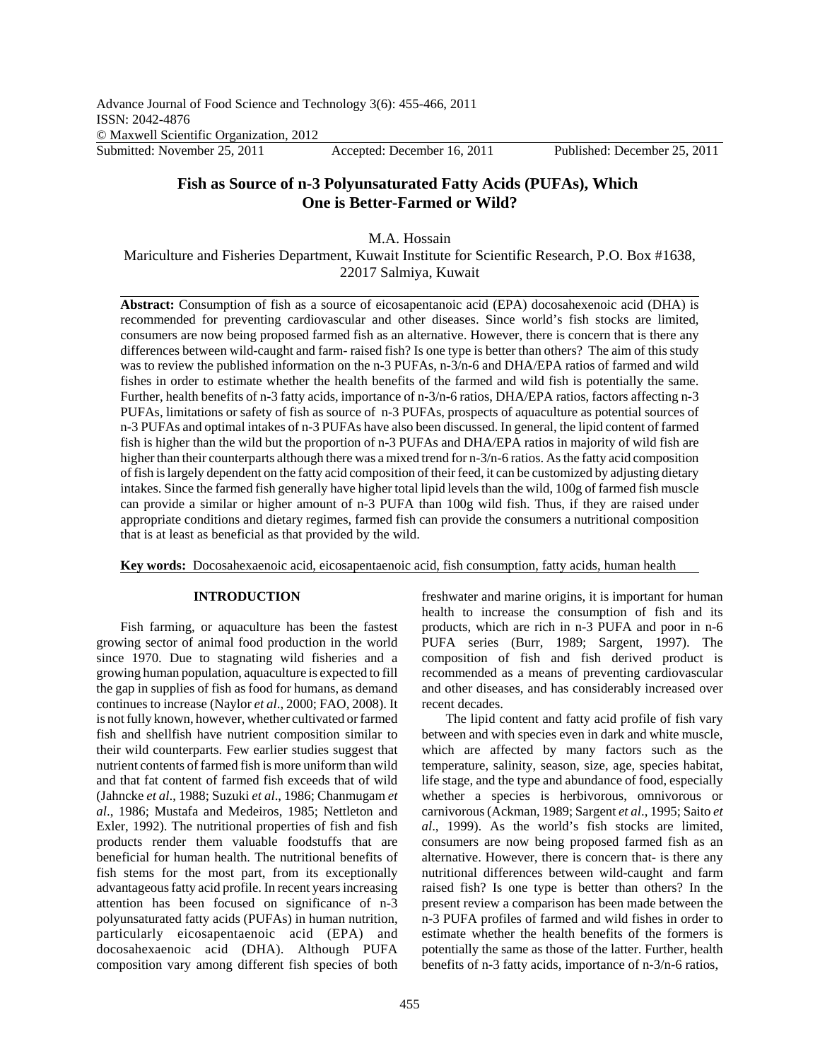# **Fish as Source of n-3 Polyunsaturated Fatty Acids (PUFAs), Which One is Better-Farmed or Wild?**

M.A. Hossain

Mariculture and Fisheries Department, Kuwait Institute for Scientific Research, P.O. Box #1638, 22017 Salmiya, Kuwait

**Abstract:** Consumption of fish as a source of eicosapentanoic acid (EPA) docosahexenoic acid (DHA) is recommended for preventing cardiovascular and other diseases. Since world's fish stocks are limited, consumers are now being proposed farmed fish as an alternative. However, there is concern that is there any differences between wild-caught and farm- raised fish? Is one type is better than others? The aim of this study was to review the published information on the n-3 PUFAs, n-3/n-6 and DHA/EPA ratios of farmed and wild fishes in order to estimate whether the health benefits of the farmed and wild fish is potentially the same. Further, health benefits of n-3 fatty acids, importance of n-3/n-6 ratios, DHA/EPA ratios, factors affecting n-3 PUFAs, limitations or safety of fish as source of n-3 PUFAs, prospects of aquaculture as potential sources of n-3 PUFAs and optimal intakes of n-3 PUFAs have also been discussed. In general, the lipid content of farmed fish is higher than the wild but the proportion of n-3 PUFAs and DHA/EPA ratios in majority of wild fish are higher than their counterparts although there was a mixed trend for n-3/n-6 ratios. As the fatty acid composition of fish is largely dependent on the fatty acid composition of their feed, it can be customized by adjusting dietary intakes. Since the farmed fish generally have higher total lipid levels than the wild, 100g of farmed fish muscle can provide a similar or higher amount of n-3 PUFA than 100g wild fish. Thus, if they are raised under appropriate conditions and dietary regimes, farmed fish can provide the consumers a nutritional composition that is at least as beneficial as that provided by the wild.

**Key words:** Docosahexaenoic acid, eicosapentaenoic acid, fish consumption, fatty acids, human health

## **INTRODUCTION**

Fish farming, or aquaculture has been the fastest growing sector of animal food production in the world since 1970. Due to stagnating wild fisheries and a growing human population, aquaculture is expected to fill the gap in supplies of fish as food for humans, as demand continues to increase (Naylor *et al*., 2000; FAO, 2008). It is not fully known, however, whether cultivated or farmed fish and shellfish have nutrient composition similar to their wild counterparts. Few earlier studies suggest that nutrient contents of farmed fish is more uniform than wild and that fat content of farmed fish exceeds that of wild (Jahncke *et al*., 1988; Suzuki *et al*., 1986; Chanmugam *et al*., 1986; Mustafa and Medeiros, 1985; Nettleton and Exler, 1992). The nutritional properties of fish and fish products render them valuable foodstuffs that are beneficial for human health. The nutritional benefits of fish stems for the most part, from its exceptionally advantageous fatty acid profile. In recent years increasing attention has been focused on significance of n-3 polyunsaturated fatty acids (PUFAs) in human nutrition, particularly eicosapentaenoic acid (EPA) and docosahexaenoic acid (DHA). Although PUFA composition vary among different fish species of both

freshwater and marine origins, it is important for human health to increase the consumption of fish and its products, which are rich in n-3 PUFA and poor in n-6 PUFA series (Burr, 1989; Sargent, 1997). The composition of fish and fish derived product is recommended as a means of preventing cardiovascular and other diseases, and has considerably increased over recent decades.

The lipid content and fatty acid profile of fish vary between and with species even in dark and white muscle, which are affected by many factors such as the temperature, salinity, season, size, age, species habitat, life stage, and the type and abundance of food, especially whether a species is herbivorous, omnivorous or carnivorous (Ackman, 1989; Sargent *et al*., 1995; Saito *et al*., 1999). As the world's fish stocks are limited, consumers are now being proposed farmed fish as an alternative. However, there is concern that- is there any nutritional differences between wild-caught and farm raised fish? Is one type is better than others? In the present review a comparison has been made between the n-3 PUFA profiles of farmed and wild fishes in order to estimate whether the health benefits of the formers is potentially the same as those of the latter. Further, health benefits of n-3 fatty acids, importance of n-3/n-6 ratios,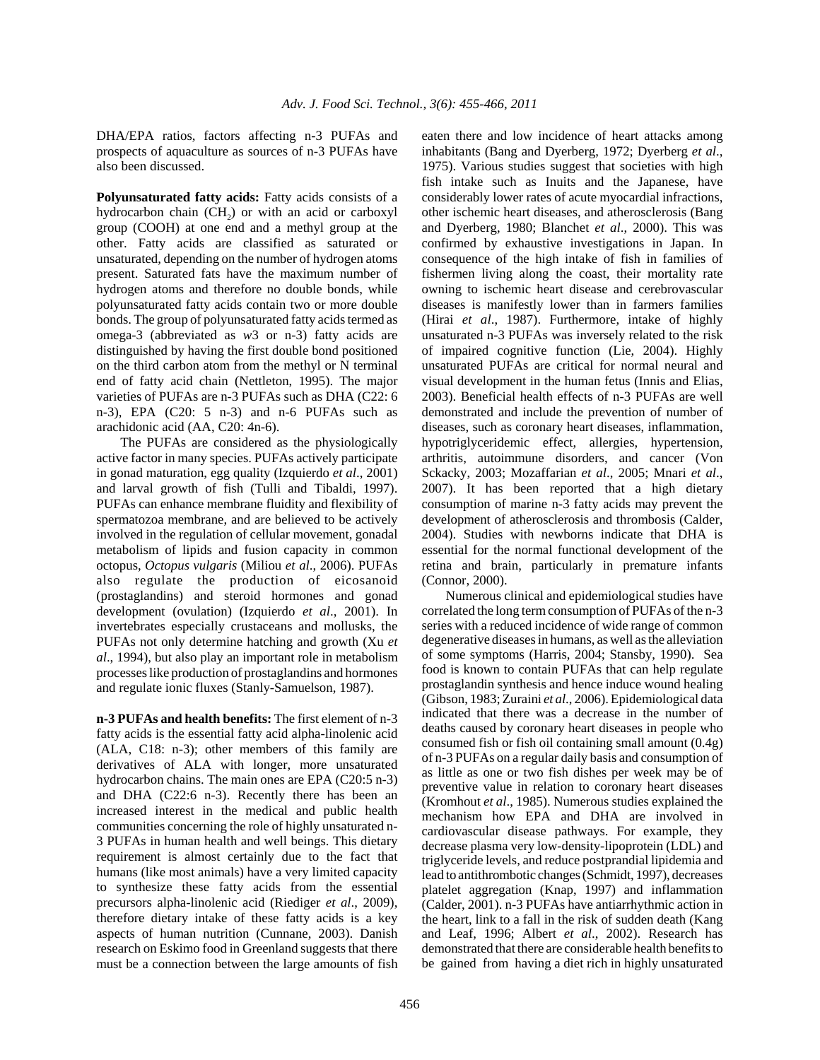DHA/EPA ratios, factors affecting n-3 PUFAs and prospects of aquaculture as sources of n-3 PUFAs have also been discussed.

**Polyunsaturated fatty acids:** Fatty acids consists of a hydrocarbon chain  $(CH<sub>2</sub>)$  or with an acid or carboxyl group (COOH) at one end and a methyl group at the other. Fatty acids are classified as saturated or unsaturated, depending on the number of hydrogen atoms present. Saturated fats have the maximum number of hydrogen atoms and therefore no double bonds, while polyunsaturated fatty acids contain two or more double bonds. The group of polyunsaturated fatty acids termed as omega-3 (abbreviated as *w*3 or n-3) fatty acids are distinguished by having the first double bond positioned on the third carbon atom from the methyl or N terminal end of fatty acid chain (Nettleton, 1995). The major varieties of PUFAs are n-3 PUFAs such as DHA (C22: 6 n-3), EPA (C20: 5 n-3) and n-6 PUFAs such as arachidonic acid (AA, C20: 4n-6).

The PUFAs are considered as the physiologically active factor in many species. PUFAs actively participate in gonad maturation, egg quality (Izquierdo *et al*., 2001) and larval growth of fish (Tulli and Tibaldi, 1997). PUFAs can enhance membrane fluidity and flexibility of spermatozoa membrane, and are believed to be actively involved in the regulation of cellular movement, gonadal metabolism of lipids and fusion capacity in common octopus, *Octopus vulgaris* (Miliou *et al*., 2006). PUFAs also regulate the production of eicosanoid (prostaglandins) and steroid hormones and gonad development (ovulation) (Izquierdo *et al*., 2001). In invertebrates especially crustaceans and mollusks, the PUFAs not only determine hatching and growth (Xu *et al*., 1994), but also play an important role in metabolism processes like production of prostaglandins and hormones and regulate ionic fluxes (Stanly-Samuelson, 1987).

**n-3 PUFAs and health benefits:** The first element of n-3 fatty acids is the essential fatty acid alpha-linolenic acid (ALA, C18: n-3); other members of this family are derivatives of ALA with longer, more unsaturated hydrocarbon chains. The main ones are EPA (C20:5 n-3) and DHA (C22:6 n-3). Recently there has been an increased interest in the medical and public health communities concerning the role of highly unsaturated n-3 PUFAs in human health and well beings. This dietary requirement is almost certainly due to the fact that humans (like most animals) have a very limited capacity to synthesize these fatty acids from the essential precursors alpha-linolenic acid (Riediger *et al*., 2009), therefore dietary intake of these fatty acids is a key aspects of human nutrition (Cunnane, 2003). Danish research on Eskimo food in Greenland suggests that there must be a connection between the large amounts of fish eaten there and low incidence of heart attacks among inhabitants (Bang and Dyerberg, 1972; Dyerberg *et al*., 1975). Various studies suggest that societies with high fish intake such as Inuits and the Japanese, have considerably lower rates of acute myocardial infractions, other ischemic heart diseases, and atherosclerosis (Bang and Dyerberg, 1980; Blanchet *et al*., 2000). This was confirmed by exhaustive investigations in Japan. In consequence of the high intake of fish in families of fishermen living along the coast, their mortality rate owning to ischemic heart disease and cerebrovascular diseases is manifestly lower than in farmers families (Hirai *et al*., 1987). Furthermore, intake of highly unsaturated n-3 PUFAs was inversely related to the risk of impaired cognitive function (Lie, 2004). Highly unsaturated PUFAs are critical for normal neural and visual development in the human fetus (Innis and Elias, 2003). Beneficial health effects of n-3 PUFAs are well demonstrated and include the prevention of number of diseases, such as coronary heart diseases, inflammation, hypotriglyceridemic effect, allergies, hypertension, arthritis, autoimmune disorders, and cancer (Von Sckacky, 2003; Mozaffarian *et al*., 2005; Mnari *et al*., 2007). It has been reported that a high dietary consumption of marine n-3 fatty acids may prevent the development of atherosclerosis and thrombosis (Calder, 2004). Studies with newborns indicate that DHA is essential for the normal functional development of the retina and brain, particularly in premature infants (Connor, 2000).

Numerous clinical and epidemiological studies have correlated the long term consumption of PUFAs of the n-3 series with a reduced incidence of wide range of common degenerative diseases in humans, as well as the alleviation of some symptoms (Harris, 2004; Stansby, 1990). Sea food is known to contain PUFAs that can help regulate prostaglandin synthesis and hence induce wound healing (Gibson, 1983; Zuraini *et al*., 2006). Epidemiological data indicated that there was a decrease in the number of deaths caused by coronary heart diseases in people who consumed fish or fish oil containing small amount (0.4g) of n-3 PUFAs on a regular daily basis and consumption of as little as one or two fish dishes per week may be of preventive value in relation to coronary heart diseases (Kromhout *et al*., 1985). Numerous studies explained the mechanism how EPA and DHA are involved in cardiovascular disease pathways. For example, they decrease plasma very low-density-lipoprotein (LDL) and triglyceride levels, and reduce postprandial lipidemia and lead to antithrombotic changes (Schmidt, 1997), decreases platelet aggregation (Knap, 1997) and inflammation (Calder, 2001). n-3 PUFAs have antiarrhythmic action in the heart, link to a fall in the risk of sudden death (Kang and Leaf, 1996; Albert *et al*., 2002). Research has demonstrated that there are considerable health benefits to be gained from having a diet rich in highly unsaturated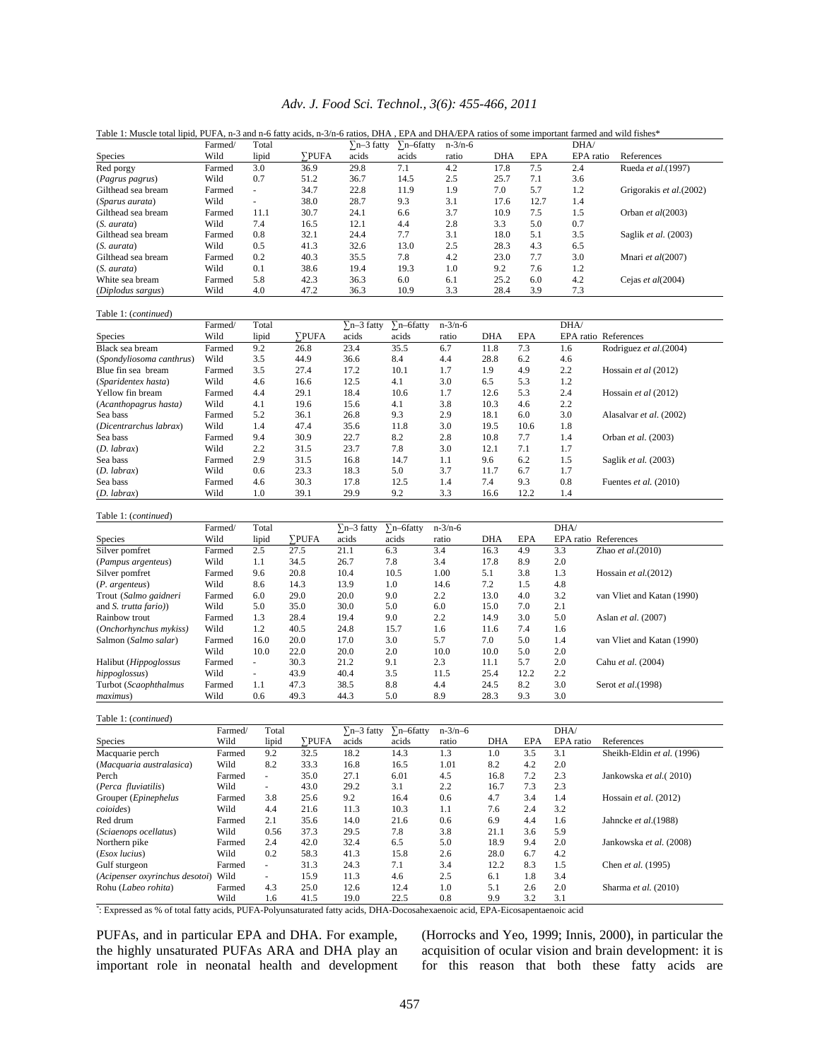## *Adv. J. Food Sci. Technol., 3(6): 455-466, 2011*

| radie 1. Muscle total lipid, PUPA, II-5 and II-6 fatty actus, II-5/II-6 fattos, DHA , EPA and DHA/EPA fattos of some important farmed and which isnes | Farmed/ | Total          |             | $\sum n-3$ fatty |                   | $n - 3/n - 6$ |            |            | DHA/      |                          |
|-------------------------------------------------------------------------------------------------------------------------------------------------------|---------|----------------|-------------|------------------|-------------------|---------------|------------|------------|-----------|--------------------------|
| Species                                                                                                                                               | Wild    | lipid          | <b>PUFA</b> | acids            | n-6fatty<br>acids | ratio         | <b>DHA</b> | <b>EPA</b> | EPA ratio | References               |
| Red porgy                                                                                                                                             | Farmed  | 3.0            | 36.9        | 29.8             | 7.1               | 4.2           | 17.8       | 7.5        | 2.4       | Rueda et al.(1997)       |
| (Pagrus pagrus)                                                                                                                                       | Wild    | 0.7            | 51.2        | 36.7             | 14.5              | 2.5           | 25.7       | 7.1        | 3.6       |                          |
| Gilthead sea bream                                                                                                                                    | Farmed  | $\overline{a}$ | 34.7        | 22.8             | 11.9              | 1.9           | 7.0        | 5.7        | 1.2       | Grigorakis et al. (2002) |
| <i>(Sparus aurata)</i>                                                                                                                                | Wild    |                | 38.0        | 28.7             | 9.3               | 3.1           | 17.6       | 12.7       | 1.4       |                          |
| Gilthead sea bream                                                                                                                                    | Farmed  | 11.1           | 30.7        | 24.1             | 6.6               | 3.7           | 10.9       | 7.5        | 1.5       | Orban et al(2003)        |
| (S. aurata)                                                                                                                                           | Wild    | 7.4            | 16.5        | 12.1             | 4.4               | 2.8           | 3.3        | 5.0        | 0.7       |                          |
| Gilthead sea bream                                                                                                                                    | Farmed  | 0.8            | 32.1        | 24.4             | 7.7               | 3.1           | 18.0       | 5.1        | 3.5       | Saglik et al. (2003)     |
| (S. aurata)                                                                                                                                           | Wild    | 0.5            | 41.3        | 32.6             | 13.0              | 2.5           | 28.3       | 4.3        | 6.5       |                          |
| Gilthead sea bream                                                                                                                                    | Farmed  | 0.2            | 40.3        | 35.5             | 7.8               | 4.2           | 23.0       | 7.7        | 3.0       | Mnari et al(2007)        |
| $(S. \, aurata)$                                                                                                                                      | Wild    | 0.1            | 38.6        | 19.4             | 19.3              | 1.0           | 9.2        | 7.6        | 1.2       |                          |
| White sea bream                                                                                                                                       | Farmed  | 5.8            | 42.3        | 36.3             | 6.0               | 6.1           | 25.2       | 6.0        | 4.2       | Cejas et al(2004)        |
| (Diplodus sargus)                                                                                                                                     | Wild    | 4.0            | 47.2        | 36.3             | 10.9              | 3.3           | 28.4       | 3.9        | 7.3       |                          |

Table 1: Muscle total lipid, PUFA, n-3 and n-6 fatty acids, n-3/n-6 ratios, DHA , EPA and DHA/EPA ratios of some important farmed and wild fishes\*

Table 1: (*continued*)

|                          | Farmed/ | Total |              | $\Sigma$ n-3 fatty | $\Sigma$ n-6fatty | $n-3/n-6$ |            |            | DHA/ |                             |
|--------------------------|---------|-------|--------------|--------------------|-------------------|-----------|------------|------------|------|-----------------------------|
| Species                  | Wild    | lipid | <b>SPUFA</b> | acids              | acids             | ratio     | <b>DHA</b> | <b>EPA</b> |      | <b>EPA</b> ratio References |
| Black sea bream          | Farmed  | 9.2   | 26.8         | 23.4               | 35.5              | 6.7       | 11.8       | 7.3        | 1.6  | Rodriguez et al.(2004)      |
| (Spondyliosoma canthrus) | Wild    | 3.5   | 44.9         | 36.6               | 8.4               | 4.4       | 28.8       | 6.2        | 4.6  |                             |
| Blue fin sea bream       | Farmed  | 3.5   | 27.4         | 17.2               | 10.1              | 1.7       | 1.9        | 4.9        | 2.2  | Hossain et al (2012)        |
| (Sparidentex hasta)      | Wild    | 4.6   | 16.6         | 12.5               | 4.1               | 3.0       | 6.5        | 5.3        | 1.2  |                             |
| Yellow fin bream         | Farmed  | 4.4   | 29.1         | 18.4               | 10.6              | 1.7       | 12.6       | 5.3        | 2.4  | Hossain et al $(2012)$      |
| (Acanthopagrus hasta)    | Wild    | 4.1   | 19.6         | 15.6               | 4.1               | 3.8       | 10.3       | 4.6        | 2.2  |                             |
| Sea bass                 | Farmed  | 5.2   | 36.1         | 26.8               | 9.3               | 2.9       | 18.1       | 6.0        | 3.0  | Alasalvar et al. (2002)     |
| (Dicentrarchus labrax)   | Wild    | 1.4   | 47.4         | 35.6               | 11.8              | 3.0       | 19.5       | 10.6       | 1.8  |                             |
| Sea bass                 | Farmed  | 9.4   | 30.9         | 22.7               | 8.2               | 2.8       | 10.8       | 7.7        | 1.4  | Orban et al. (2003)         |
| $(D.$ labrax $)$         | Wild    | 2.2   | 31.5         | 23.7               | 7.8               | 3.0       | 12.1       | 7.1        | 1.7  |                             |
| Sea bass                 | Farmed  | 2.9   | 31.5         | 16.8               | 14.7              | 1.1       | 9.6        | 6.2        | 1.5  | Saglik et al. (2003)        |
| $(D.$ labrax $)$         | Wild    | 0.6   | 23.3         | 18.3               | 5.0               | 3.7       | 11.7       | 6.7        | 1.7  |                             |
| Sea bass                 | Farmed  | 4.6   | 30.3         | 17.8               | 12.5              | 1.4       | 7.4        | 9.3        | 0.8  | Fuentes et al. (2010)       |
| $(D.$ labrax $)$         | Wild    | 1.0   | 39.1         | 29.9               | 9.2               | 3.3       | 16.6       | 12.2       | 1.4  |                             |

| ravic <i>r. (communeu)</i>    |         |                          |              |                  |                   |               |            |            |      |                             |
|-------------------------------|---------|--------------------------|--------------|------------------|-------------------|---------------|------------|------------|------|-----------------------------|
|                               | Farmed/ | Total                    |              | $\sum n-3$ fatty | $\Sigma$ n-6fatty | $n - 3/n - 6$ |            |            | DHA/ |                             |
| <b>Species</b>                | Wild    | lipid                    | <b>SPUFA</b> | acids            | acids             | ratio         | <b>DHA</b> | <b>EPA</b> |      | <b>EPA</b> ratio References |
| Silver pomfret                | Farmed  | 2.5                      | 27.5         | 21.1             | 6.3               | 3.4           | 16.3       | 4.9        | 3.3  | Zhao et al. $(2010)$        |
| (Pampus argenteus)            | Wild    | 1.1                      | 34.5         | 26.7             | 7.8               | 3.4           | 17.8       | 8.9        | 2.0  |                             |
| Silver pomfret                | Farmed  | 9.6                      | 20.8         | 10.4             | 10.5              | 1.00          | 5.1        | 3.8        | 1.3  | Hossain et al. $(2012)$     |
| (P. argenteus)                | Wild    | 8.6                      | 14.3         | 13.9             | 1.0               | 14.6          | 7.2        | 1.5        | 4.8  |                             |
| Trout (Salmo gaidneri         | Farmed  | 6.0                      | 29.0         | 20.0             | 9.0               | 2.2           | 13.0       | 4.0        | 3.2  | van Vliet and Katan (1990)  |
| and <i>S. trutta fario</i> )) | Wild    | 5.0                      | 35.0         | 30.0             | 5.0               | 6.0           | 15.0       | 7.0        | 2.1  |                             |
| Rainbow trout                 | Farmed  | 1.3                      | 28.4         | 19.4             | 9.0               | 2.2           | 14.9       | 3.0        | 5.0  | Aslan et al. (2007)         |
| (Onchorhynchus mykiss)        | Wild    | 1.2                      | 40.5         | 24.8             | 15.7              | 1.6           | 11.6       | 7.4        | 1.6  |                             |
| Salmon (Salmo salar)          | Farmed  | 16.0                     | 20.0         | 17.0             | 3.0               | 5.7           | 7.0        | 5.0        | 1.4  | van Vliet and Katan (1990)  |
|                               | Wild    | 10.0                     | 22.0         | 20.0             | 2.0               | 10.0          | 10.0       | 5.0        | 2.0  |                             |
| Halibut (Hippoglossus         | Farmed  | ٠                        | 30.3         | 21.2             | 9.1               | 2.3           | 11.1       | 5.7        | 2.0  | Cahu et al. (2004)          |
| hippoglossus)                 | Wild    | $\overline{\phantom{a}}$ | 43.9         | 40.4             | 3.5               | 11.5          | 25.4       | 12.2       | 2.2  |                             |
| Turbot (Scaophthalmus         | Farmed  | 1.1                      | 47.3         | 38.5             | 8.8               | 4.4           | 24.5       | 8.2        | 3.0  | Serot et al. (1998)         |
| maximus)                      | Wild    | 0.6                      | 49.3         | 44.3             | 5.0               | 8.9           | 28.3       | 9.3        | 3.0  |                             |

Table 1: (*continued*)

Table 1: (*continued*)

|                                                                                                                            | Farmed/ | Total                    |                     | $\sum_{n=3}$ fatty | $\sum n$ –6fatty | $n - 3/n - 6$ |            |            | DHA/      |                            |
|----------------------------------------------------------------------------------------------------------------------------|---------|--------------------------|---------------------|--------------------|------------------|---------------|------------|------------|-----------|----------------------------|
| <b>Species</b>                                                                                                             | Wild    | lipid                    | <b><i>YPUFA</i></b> | acids              | acids            | ratio         | <b>DHA</b> | <b>EPA</b> | EPA ratio | References                 |
| Macquarie perch                                                                                                            | Farmed  | 9.2                      | 32.5                | 18.2               | 14.3             | 1.3           | 1.0        | 3.5        | 3.1       | Sheikh-Eldin et al. (1996) |
| (Macquaria australasica)                                                                                                   | Wild    | 8.2                      | 33.3                | 16.8               | 16.5             | 1.01          | 8.2        | 4.2        | 2.0       |                            |
| Perch                                                                                                                      | Farmed  | $\sim$                   | 35.0                | 27.1               | 6.01             | 4.5           | 16.8       | 7.2        | 2.3       | Jankowska et al. (2010)    |
| (Perca fluviatilis)                                                                                                        | Wild    | $\overline{\phantom{a}}$ | 43.0                | 29.2               | 3.1              | 2.2           | 16.7       | 7.3        | 2.3       |                            |
| Grouper (Epinephelus                                                                                                       | Farmed  | 3.8                      | 25.6                | 9.2                | 16.4             | 0.6           | 4.7        | 3.4        | 1.4       | Hossain et al. $(2012)$    |
| coioides)                                                                                                                  | Wild    | 4.4                      | 21.6                | 11.3               | 10.3             | 1.1           | 7.6        | 2.4        | 3.2       |                            |
| Red drum                                                                                                                   | Farmed  | 2.1                      | 35.6                | 14.0               | 21.6             | 0.6           | 6.9        | 4.4        | 1.6       | Jahncke et al. (1988)      |
| (Sciaenops ocellatus)                                                                                                      | Wild    | 0.56                     | 37.3                | 29.5               | 7.8              | 3.8           | 21.1       | 3.6        | 5.9       |                            |
| Northern pike                                                                                                              | Farmed  | 2.4                      | 42.0                | 32.4               | 6.5              | 5.0           | 18.9       | 9.4        | 2.0       | Jankowska et al. (2008)    |
| (Esox lucius)                                                                                                              | Wild    | 0.2                      | 58.3                | 41.3               | 15.8             | 2.6           | 28.0       | 6.7        | 4.2       |                            |
| Gulf sturgeon                                                                                                              | Farmed  | $\sim$                   | 31.3                | 24.3               | 7.1              | 3.4           | 12.2       | 8.3        | 1.5       | Chen et al. (1995)         |
| (Acipenser oxyrinchus desotoi)                                                                                             | Wild    | $\overline{\phantom{a}}$ | 15.9                | 11.3               | 4.6              | 2.5           | 6.1        | 1.8        | 3.4       |                            |
| Rohu (Labeo rohita)                                                                                                        | Farmed  | 4.3                      | 25.0                | 12.6               | 12.4             | 1.0           | 5.1        | 2.6        | 2.0       | Sharma et al. (2010)       |
|                                                                                                                            | Wild    | 1.6                      | 41.5                | 19.0               | 22.5             | 0.8           | 9.9        | 3.2        | 3.1       |                            |
| Expressed as % of total fatty acids, PUFA-Polyunsaturated fatty acids, DHA-Docosahexaenoic acid, EPA-Eicosapentaenoic acid |         |                          |                     |                    |                  |               |            |            |           |                            |

PUFAs, and in particular EPA and DHA. For example, the highly unsaturated PUFAs ARA and DHA play an important role in neonatal health and development

(Horrocks and Yeo, 1999; Innis, 2000), in particular the acquisition of ocular vision and brain development: it is for this reason that both these fatty acids are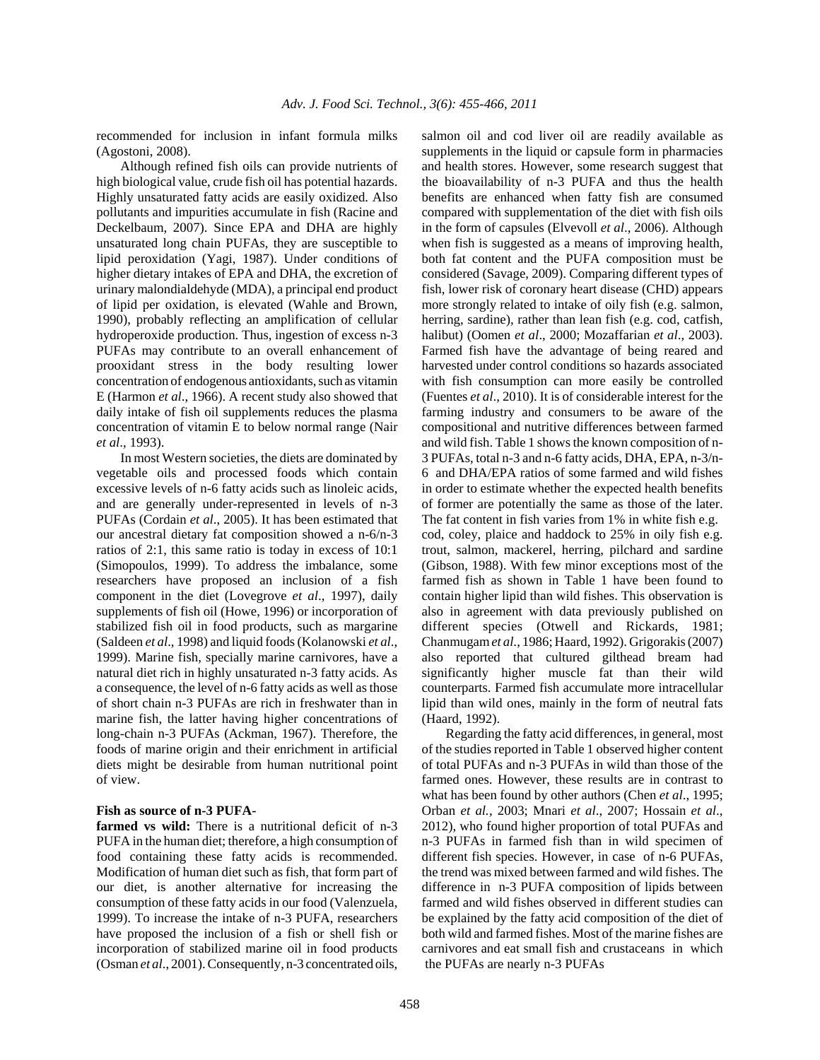recommended for inclusion in infant formula milks (Agostoni, 2008).

Although refined fish oils can provide nutrients of high biological value, crude fish oil has potential hazards. Highly unsaturated fatty acids are easily oxidized. Also pollutants and impurities accumulate in fish (Racine and Deckelbaum, 2007). Since EPA and DHA are highly unsaturated long chain PUFAs, they are susceptible to lipid peroxidation (Yagi, 1987). Under conditions of higher dietary intakes of EPA and DHA, the excretion of urinary malondialdehyde (MDA), a principal end product of lipid per oxidation, is elevated (Wahle and Brown, 1990), probably reflecting an amplification of cellular hydroperoxide production. Thus, ingestion of excess n-3 PUFAs may contribute to an overall enhancement of prooxidant stress in the body resulting lower concentration of endogenous antioxidants, such as vitamin E (Harmon *et al*., 1966). A recent study also showed that daily intake of fish oil supplements reduces the plasma concentration of vitamin E to below normal range (Nair *et al*., 1993).

In most Western societies, the diets are dominated by vegetable oils and processed foods which contain excessive levels of n-6 fatty acids such as linoleic acids, and are generally under-represented in levels of n-3 PUFAs (Cordain *et al*., 2005). It has been estimated that our ancestral dietary fat composition showed a n-6/n-3 ratios of 2:1, this same ratio is today in excess of 10:1 (Simopoulos, 1999). To address the imbalance, some researchers have proposed an inclusion of a fish component in the diet (Lovegrove *et al*., 1997), daily supplements of fish oil (Howe, 1996) or incorporation of stabilized fish oil in food products, such as margarine (Saldeen *et al*., 1998) and liquid foods (Kolanowski *et al*., 1999). Marine fish, specially marine carnivores, have a natural diet rich in highly unsaturated n-3 fatty acids. As a consequence, the level of n-6 fatty acids as well as those of short chain n-3 PUFAs are rich in freshwater than in marine fish, the latter having higher concentrations of long-chain n-3 PUFAs (Ackman, 1967). Therefore, the foods of marine origin and their enrichment in artificial diets might be desirable from human nutritional point of view.

#### **Fish as source of n-3 PUFA-**

farmed vs wild: There is a nutritional deficit of n-3 PUFA in the human diet; therefore, a high consumption of food containing these fatty acids is recommended. Modification of human diet such as fish, that form part of our diet, is another alternative for increasing the consumption of these fatty acids in our food (Valenzuela, 1999). To increase the intake of n-3 PUFA, researchers have proposed the inclusion of a fish or shell fish or incorporation of stabilized marine oil in food products (Osman *et al*., 2001). Consequently, n-3 concentrated oils, salmon oil and cod liver oil are readily available as supplements in the liquid or capsule form in pharmacies and health stores. However, some research suggest that the bioavailability of n-3 PUFA and thus the health benefits are enhanced when fatty fish are consumed compared with supplementation of the diet with fish oils in the form of capsules (Elvevoll *et al*., 2006). Although when fish is suggested as a means of improving health, both fat content and the PUFA composition must be considered (Savage, 2009). Comparing different types of fish, lower risk of coronary heart disease (CHD) appears more strongly related to intake of oily fish (e.g. salmon, herring, sardine), rather than lean fish (e.g. cod, catfish, halibut) (Oomen *et al*., 2000; Mozaffarian *et al*., 2003). Farmed fish have the advantage of being reared and harvested under control conditions so hazards associated with fish consumption can more easily be controlled (Fuentes *et al*., 2010). It is of considerable interest for the farming industry and consumers to be aware of the compositional and nutritive differences between farmed and wild fish. Table 1 shows the known composition of n-3 PUFAs, total n-3 and n-6 fatty acids, DHA, EPA, n-3/n-6 and DHA/EPA ratios of some farmed and wild fishes in order to estimate whether the expected health benefits of former are potentially the same as those of the later. The fat content in fish varies from 1% in white fish e.g. cod, coley, plaice and haddock to 25% in oily fish e.g. trout, salmon, mackerel, herring, pilchard and sardine (Gibson, 1988). With few minor exceptions most of the farmed fish as shown in Table 1 have been found to contain higher lipid than wild fishes. This observation is also in agreement with data previously published on different species (Otwell and Rickards, 1981; Chanmugam *et al*., 1986; Haard, 1992). Grigorakis (2007) also reported that cultured gilthead bream had significantly higher muscle fat than their wild counterparts. Farmed fish accumulate more intracellular lipid than wild ones, mainly in the form of neutral fats (Haard, 1992).

Regarding the fatty acid differences, in general, most of the studies reported in Table 1 observed higher content of total PUFAs and n-3 PUFAs in wild than those of the farmed ones. However, these results are in contrast to what has been found by other authors (Chen *et al*., 1995; Orban *et al.,* 2003; Mnari *et al*., 2007; Hossain *et al*., 2012), who found higher proportion of total PUFAs and n-3 PUFAs in farmed fish than in wild specimen of different fish species. However, in case of n-6 PUFAs, the trend was mixed between farmed and wild fishes. The difference in n-3 PUFA composition of lipids between farmed and wild fishes observed in different studies can be explained by the fatty acid composition of the diet of both wild and farmed fishes. Most of the marine fishes are carnivores and eat small fish and crustaceans in which the PUFAs are nearly n-3 PUFAs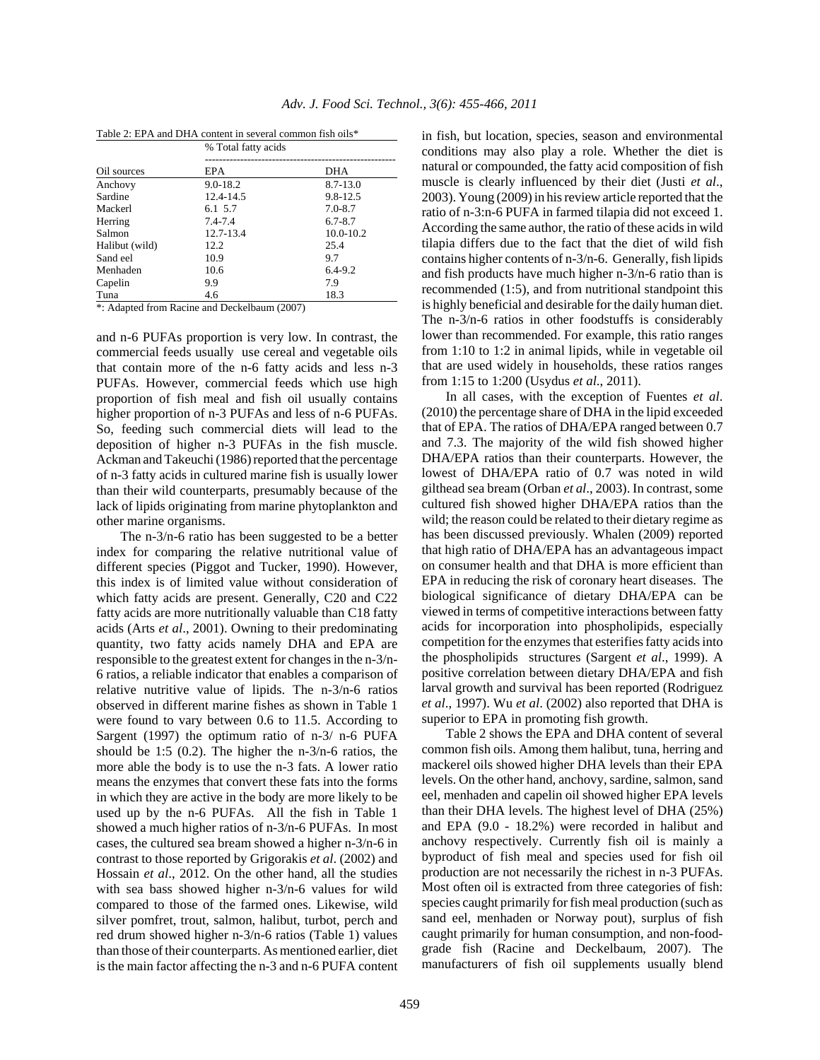|                | % Total fatty acids |              |  |  |  |  |  |
|----------------|---------------------|--------------|--|--|--|--|--|
|                |                     |              |  |  |  |  |  |
| Oil sources    | EPA                 | DHA          |  |  |  |  |  |
| Anchovy        | $9.0 - 18.2$        | $8.7 - 13.0$ |  |  |  |  |  |
| Sardine        | 12.4-14.5           | 9.8-12.5     |  |  |  |  |  |
| Mackerl        | 6.1 5.7             | $7.0 - 8.7$  |  |  |  |  |  |
| Herring        | 7.4-7.4             | $6.7 - 8.7$  |  |  |  |  |  |
| Salmon         | 12.7-13.4           | 10.0-10.2    |  |  |  |  |  |
| Halibut (wild) | 12.2                | 25.4         |  |  |  |  |  |
| Sand eel       | 10.9                | 9.7          |  |  |  |  |  |
| Menhaden       | 10.6                | $6.4 - 9.2$  |  |  |  |  |  |
| Capelin        | 9.9                 | 7.9          |  |  |  |  |  |
| Tuna           | 4.6                 | 18.3         |  |  |  |  |  |

| Table 2: EPA and DHA content in several common fish oils* |  |  |
|-----------------------------------------------------------|--|--|
|-----------------------------------------------------------|--|--|

\*: Adapted from Racine and Deckelbaum (2007)

and n-6 PUFAs proportion is very low. In contrast, the commercial feeds usually use cereal and vegetable oils that contain more of the n-6 fatty acids and less n-3 PUFAs. However, commercial feeds which use high proportion of fish meal and fish oil usually contains higher proportion of n-3 PUFAs and less of n-6 PUFAs. So, feeding such commercial diets will lead to the deposition of higher n-3 PUFAs in the fish muscle. Ackman and Takeuchi (1986) reported that the percentage of n-3 fatty acids in cultured marine fish is usually lower than their wild counterparts, presumably because of the lack of lipids originating from marine phytoplankton and other marine organisms.

The n-3/n-6 ratio has been suggested to be a better index for comparing the relative nutritional value of different species (Piggot and Tucker, 1990). However, this index is of limited value without consideration of which fatty acids are present. Generally, C20 and C22 fatty acids are more nutritionally valuable than C18 fatty acids (Arts *et al*., 2001). Owning to their predominating quantity, two fatty acids namely DHA and EPA are responsible to the greatest extent for changes in the n-3/n-6 ratios, a reliable indicator that enables a comparison of relative nutritive value of lipids. The n-3/n-6 ratios observed in different marine fishes as shown in Table 1 were found to vary between 0.6 to 11.5. According to Sargent (1997) the optimum ratio of n-3/ n-6 PUFA should be 1:5 (0.2). The higher the n-3/n-6 ratios, the more able the body is to use the n-3 fats. A lower ratio means the enzymes that convert these fats into the forms in which they are active in the body are more likely to be used up by the n-6 PUFAs. All the fish in Table 1 showed a much higher ratios of n-3/n-6 PUFAs. In most cases, the cultured sea bream showed a higher n-3/n-6 in contrast to those reported by Grigorakis *et al*. (2002) and Hossain *et al*., 2012. On the other hand, all the studies with sea bass showed higher n-3/n-6 values for wild compared to those of the farmed ones. Likewise, wild silver pomfret, trout, salmon, halibut, turbot, perch and red drum showed higher n-3/n-6 ratios (Table 1) values than those of their counterparts. As mentioned earlier, diet is the main factor affecting the n-3 and n-6 PUFA content in fish, but location, species, season and environmental conditions may also play a role. Whether the diet is natural or compounded, the fatty acid composition of fish muscle is clearly influenced by their diet (Justi *et al*., 2003). Young (2009) in his review article reported that the ratio of n-3:n-6 PUFA in farmed tilapia did not exceed 1. According the same author, the ratio of these acids in wild tilapia differs due to the fact that the diet of wild fish contains higher contents of n-3/n-6. Generally, fish lipids and fish products have much higher n-3/n-6 ratio than is recommended (1:5), and from nutritional standpoint this is highly beneficial and desirable for the daily human diet. The n-3/n-6 ratios in other foodstuffs is considerably lower than recommended. For example, this ratio ranges from 1:10 to 1:2 in animal lipids, while in vegetable oil that are used widely in households, these ratios ranges from 1:15 to 1:200 (Usydus *et al*., 2011).

In all cases, with the exception of Fuentes *et al*. (2010) the percentage share of DHA in the lipid exceeded that of EPA. The ratios of DHA/EPA ranged between 0.7 and 7.3. The majority of the wild fish showed higher DHA/EPA ratios than their counterparts. However, the lowest of DHA/EPA ratio of 0.7 was noted in wild gilthead sea bream (Orban *et al*., 2003). In contrast, some cultured fish showed higher DHA/EPA ratios than the wild; the reason could be related to their dietary regime as has been discussed previously. Whalen (2009) reported that high ratio of DHA/EPA has an advantageous impact on consumer health and that DHA is more efficient than EPA in reducing the risk of coronary heart diseases. The biological significance of dietary DHA/EPA can be viewed in terms of competitive interactions between fatty acids for incorporation into phospholipids, especially competition for the enzymes that esterifies fatty acids into the phospholipids structures (Sargent *et al*., 1999). A positive correlation between dietary DHA/EPA and fish larval growth and survival has been reported (Rodriguez *et al*., 1997). Wu *et al*. (2002) also reported that DHA is superior to EPA in promoting fish growth.

Table 2 shows the EPA and DHA content of several common fish oils. Among them halibut, tuna, herring and mackerel oils showed higher DHA levels than their EPA levels. On the other hand, anchovy, sardine, salmon, sand eel, menhaden and capelin oil showed higher EPA levels than their DHA levels. The highest level of DHA (25%) and EPA (9.0 - 18.2%) were recorded in halibut and anchovy respectively. Currently fish oil is mainly a byproduct of fish meal and species used for fish oil production are not necessarily the richest in n-3 PUFAs. Most often oil is extracted from three categories of fish: species caught primarily for fish meal production (such as sand eel, menhaden or Norway pout), surplus of fish caught primarily for human consumption, and non-foodgrade fish (Racine and Deckelbaum, 2007). The manufacturers of fish oil supplements usually blend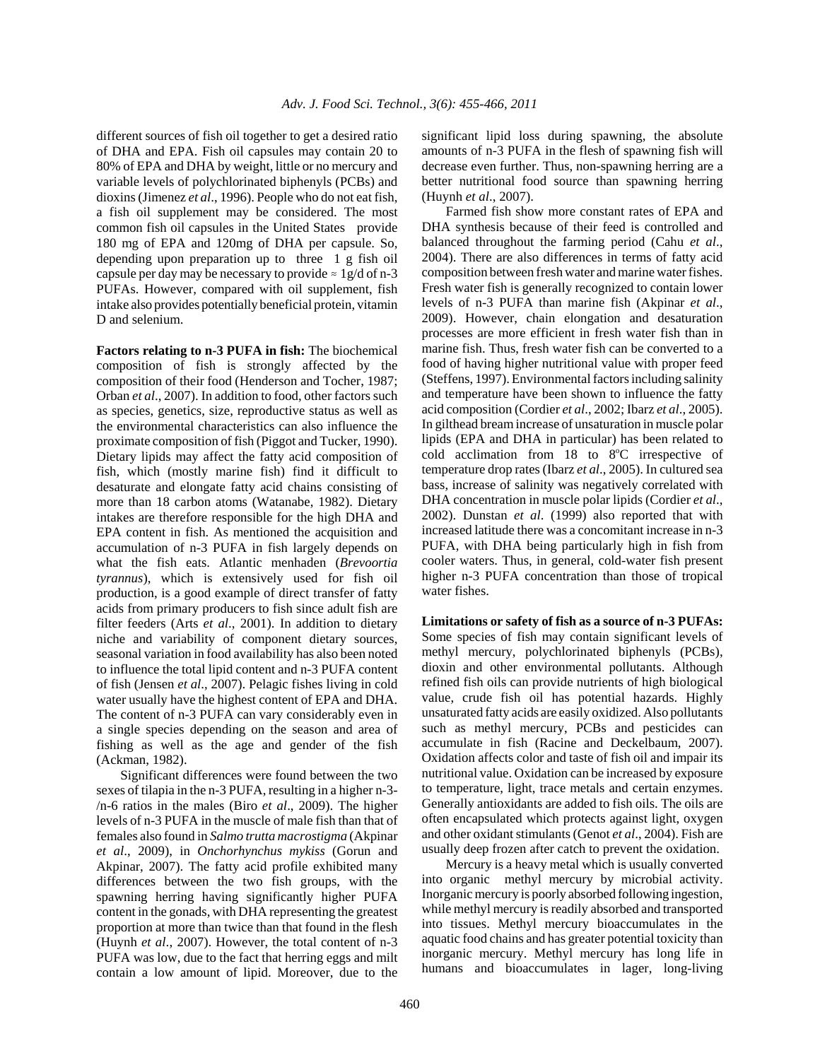different sources of fish oil together to get a desired ratio of DHA and EPA. Fish oil capsules may contain 20 to 80% of EPA and DHA by weight, little or no mercury and variable levels of polychlorinated biphenyls (PCBs) and dioxins (Jimenez *et al*., 1996). People who do not eat fish, a fish oil supplement may be considered. The most common fish oil capsules in the United States provide 180 mg of EPA and 120mg of DHA per capsule. So, depending upon preparation up to three 1 g fish oil capsule per day may be necessary to provide  $\approx 1$  g/d of n-3 PUFAs. However, compared with oil supplement, fish intake also provides potentially beneficial protein, vitamin D and selenium.

**Factors relating to n-3 PUFA in fish:** The biochemical composition of fish is strongly affected by the composition of their food (Henderson and Tocher, 1987; Orban *et al*., 2007). In addition to food, other factors such as species, genetics, size, reproductive status as well as the environmental characteristics can also influence the proximate composition of fish (Piggot and Tucker, 1990). Dietary lipids may affect the fatty acid composition of fish, which (mostly marine fish) find it difficult to desaturate and elongate fatty acid chains consisting of more than 18 carbon atoms (Watanabe, 1982). Dietary intakes are therefore responsible for the high DHA and EPA content in fish. As mentioned the acquisition and accumulation of n-3 PUFA in fish largely depends on what the fish eats. Atlantic menhaden (*Brevoortia tyrannus*), which is extensively used for fish oil production, is a good example of direct transfer of fatty acids from primary producers to fish since adult fish are filter feeders (Arts *et al*., 2001). In addition to dietary niche and variability of component dietary sources, seasonal variation in food availability has also been noted to influence the total lipid content and n-3 PUFA content of fish (Jensen *et al*., 2007). Pelagic fishes living in cold water usually have the highest content of EPA and DHA. The content of n-3 PUFA can vary considerably even in a single species depending on the season and area of fishing as well as the age and gender of the fish (Ackman, 1982).

Significant differences were found between the two sexes of tilapia in the n-3 PUFA, resulting in a higher n-3- /n-6 ratios in the males (Biro *et al*., 2009). The higher levels of n-3 PUFA in the muscle of male fish than that of females also found in *Salmo trutta macrostigma* (Akpinar *et al*., 2009), in *Onchorhynchus mykiss* (Gorun and Akpinar, 2007). The fatty acid profile exhibited many differences between the two fish groups, with the spawning herring having significantly higher PUFA content in the gonads, with DHA representing the greatest proportion at more than twice than that found in the flesh (Huynh *et al*., 2007). However, the total content of n-3 PUFA was low, due to the fact that herring eggs and milt contain a low amount of lipid. Moreover, due to the significant lipid loss during spawning, the absolute amounts of n-3 PUFA in the flesh of spawning fish will decrease even further. Thus, non-spawning herring are a better nutritional food source than spawning herring (Huynh *et al*., 2007).

Farmed fish show more constant rates of EPA and DHA synthesis because of their feed is controlled and balanced throughout the farming period (Cahu *et al*., 2004). There are also differences in terms of fatty acid composition between fresh water and marine water fishes. Fresh water fish is generally recognized to contain lower levels of n-3 PUFA than marine fish (Akpinar *et al*., 2009). However, chain elongation and desaturation processes are more efficient in fresh water fish than in marine fish. Thus, fresh water fish can be converted to a food of having higher nutritional value with proper feed (Steffens, 1997). Environmental factors including salinity and temperature have been shown to influence the fatty acid composition (Cordier *et al*., 2002; Ibarz *et al*., 2005). In gilthead bream increase of unsaturation in muscle polar lipids (EPA and DHA in particular) has been related to cold acclimation from 18 to 8°C irrespective of temperature drop rates (Ibarz *et al*., 2005). In cultured sea bass, increase of salinity was negatively correlated with DHA concentration in muscle polar lipids (Cordier *et al*., 2002). Dunstan *et al*. (1999) also reported that with increased latitude there was a concomitant increase in n-3 PUFA, with DHA being particularly high in fish from cooler waters. Thus, in general, cold-water fish present higher n-3 PUFA concentration than those of tropical water fishes.

**Limitations or safety of fish as a source of n-3 PUFAs:** Some species of fish may contain significant levels of methyl mercury, polychlorinated biphenyls (PCBs), dioxin and other environmental pollutants. Although refined fish oils can provide nutrients of high biological value, crude fish oil has potential hazards. Highly unsaturated fatty acids are easily oxidized. Also pollutants such as methyl mercury, PCBs and pesticides can accumulate in fish (Racine and Deckelbaum, 2007). Oxidation affects color and taste of fish oil and impair its nutritional value. Oxidation can be increased by exposure to temperature, light, trace metals and certain enzymes. Generally antioxidants are added to fish oils. The oils are often encapsulated which protects against light, oxygen and other oxidant stimulants (Genot *et al*., 2004). Fish are usually deep frozen after catch to prevent the oxidation.

Mercury is a heavy metal which is usually converted into organic methyl mercury by microbial activity. Inorganic mercury is poorly absorbed following ingestion, while methyl mercury is readily absorbed and transported into tissues. Methyl mercury bioaccumulates in the aquatic food chains and has greater potential toxicity than inorganic mercury. Methyl mercury has long life in humans and bioaccumulates in lager, long-living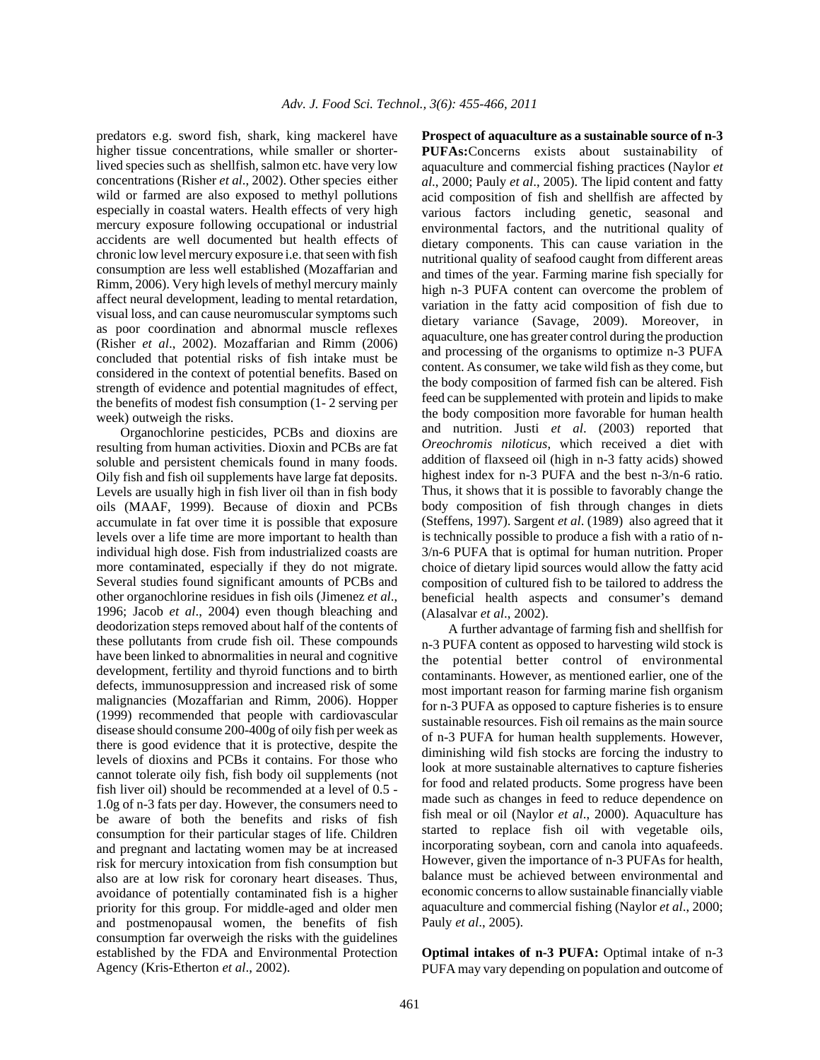predators e.g. sword fish, shark, king mackerel have higher tissue concentrations, while smaller or shorterlived species such as shellfish, salmon etc. have very low concentrations (Risher *et al*., 2002). Other species either wild or farmed are also exposed to methyl pollutions especially in coastal waters. Health effects of very high mercury exposure following occupational or industrial accidents are well documented but health effects of chronic low level mercury exposure i.e. that seen with fish consumption are less well established (Mozaffarian and Rimm, 2006). Very high levels of methyl mercury mainly affect neural development, leading to mental retardation, visual loss, and can cause neuromuscular symptoms such as poor coordination and abnormal muscle reflexes (Risher *et al*., 2002). Mozaffarian and Rimm (2006) concluded that potential risks of fish intake must be considered in the context of potential benefits. Based on strength of evidence and potential magnitudes of effect, the benefits of modest fish consumption (1- 2 serving per week) outweigh the risks.

Organochlorine pesticides, PCBs and dioxins are resulting from human activities. Dioxin and PCBs are fat soluble and persistent chemicals found in many foods. Oily fish and fish oil supplements have large fat deposits. Levels are usually high in fish liver oil than in fish body oils (MAAF, 1999). Because of dioxin and PCBs accumulate in fat over time it is possible that exposure levels over a life time are more important to health than individual high dose. Fish from industrialized coasts are more contaminated, especially if they do not migrate. Several studies found significant amounts of PCBs and other organochlorine residues in fish oils (Jimenez *et al*., 1996; Jacob *et al*., 2004) even though bleaching and deodorization steps removed about half of the contents of these pollutants from crude fish oil. These compounds have been linked to abnormalities in neural and cognitive development, fertility and thyroid functions and to birth defects, immunosuppression and increased risk of some malignancies (Mozaffarian and Rimm, 2006). Hopper (1999) recommended that people with cardiovascular disease should consume 200-400g of oily fish per week as there is good evidence that it is protective, despite the levels of dioxins and PCBs it contains. For those who cannot tolerate oily fish, fish body oil supplements (not fish liver oil) should be recommended at a level of 0.5 - 1.0g of n-3 fats per day. However, the consumers need to be aware of both the benefits and risks of fish consumption for their particular stages of life. Children and pregnant and lactating women may be at increased risk for mercury intoxication from fish consumption but also are at low risk for coronary heart diseases. Thus, avoidance of potentially contaminated fish is a higher priority for this group. For middle-aged and older men and postmenopausal women, the benefits of fish consumption far overweigh the risks with the guidelines established by the FDA and Environmental Protection Agency (Kris-Etherton *et al*., 2002).

**Prospect of aquaculture as a sustainable source of n-3 PUFAs:**Concerns exists about sustainability of aquaculture and commercial fishing practices (Naylor *et al*., 2000; Pauly *et al*., 2005). The lipid content and fatty acid composition of fish and shellfish are affected by various factors including genetic, seasonal and environmental factors, and the nutritional quality of dietary components. This can cause variation in the nutritional quality of seafood caught from different areas and times of the year. Farming marine fish specially for high n-3 PUFA content can overcome the problem of variation in the fatty acid composition of fish due to dietary variance (Savage, 2009). Moreover, in aquaculture, one has greater control during the production and processing of the organisms to optimize n-3 PUFA content. As consumer, we take wild fish as they come, but the body composition of farmed fish can be altered. Fish feed can be supplemented with protein and lipids to make the body composition more favorable for human health and nutrition. Justi *et al*. (2003) reported that *Oreochromis niloticus*, which received a diet with addition of flaxseed oil (high in n-3 fatty acids) showed highest index for n-3 PUFA and the best n-3/n-6 ratio. Thus, it shows that it is possible to favorably change the body composition of fish through changes in diets (Steffens, 1997). Sargent *et al*. (1989) also agreed that it is technically possible to produce a fish with a ratio of n-3/n-6 PUFA that is optimal for human nutrition. Proper choice of dietary lipid sources would allow the fatty acid composition of cultured fish to be tailored to address the beneficial health aspects and consumer's demand (Alasalvar *et al*., 2002).

 A further advantage of farming fish and shellfish for n-3 PUFA content as opposed to harvesting wild stock is the potential better control of environmental contaminants. However, as mentioned earlier, one of the most important reason for farming marine fish organism for n-3 PUFA as opposed to capture fisheries is to ensure sustainable resources. Fish oil remains as the main source of n-3 PUFA for human health supplements. However, diminishing wild fish stocks are forcing the industry to look at more sustainable alternatives to capture fisheries for food and related products. Some progress have been made such as changes in feed to reduce dependence on fish meal or oil (Naylor *et al*., 2000). Aquaculture has started to replace fish oil with vegetable oils, incorporating soybean, corn and canola into aquafeeds. However, given the importance of n-3 PUFAs for health, balance must be achieved between environmental and economic concerns to allow sustainable financially viable aquaculture and commercial fishing (Naylor *et al*., 2000; Pauly *et al*., 2005).

**Optimal intakes of n-3 PUFA:** Optimal intake of n-3 PUFA may vary depending on population and outcome of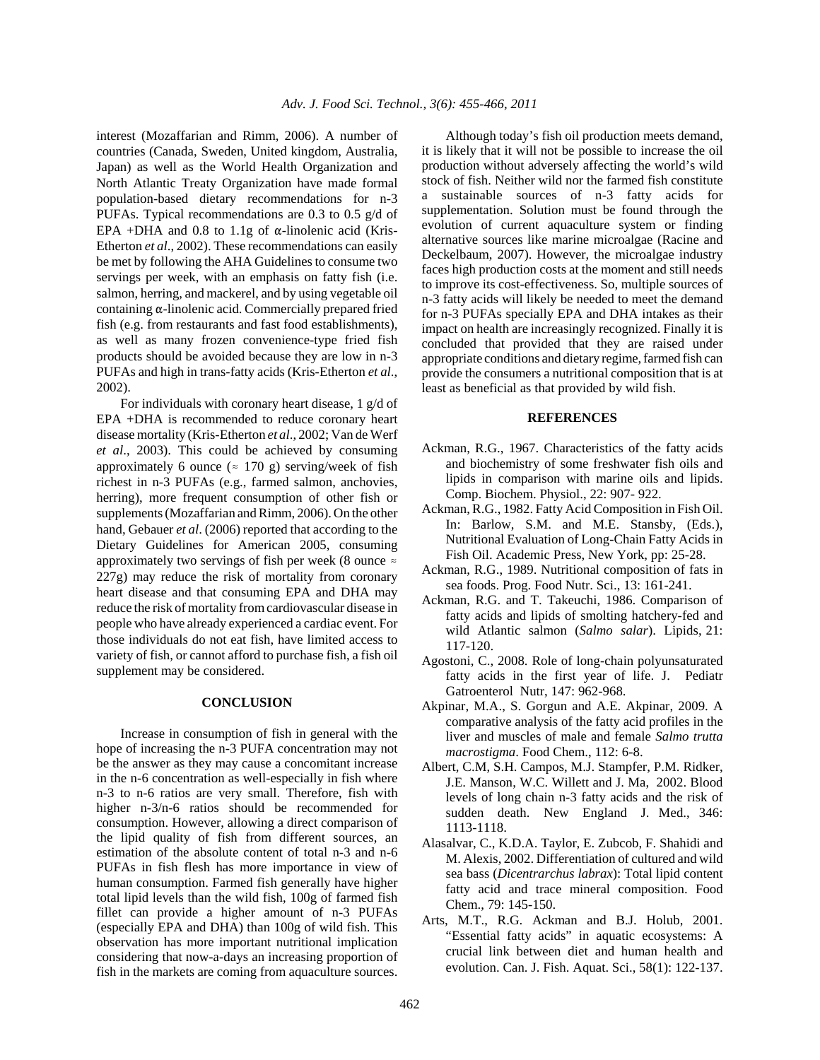interest (Mozaffarian and Rimm, 2006). A number of countries (Canada, Sweden, United kingdom, Australia, Japan) as well as the World Health Organization and North Atlantic Treaty Organization have made formal population-based dietary recommendations for n-3 PUFAs. Typical recommendations are 0.3 to 0.5 g/d of EPA +DHA and 0.8 to 1.1g of  $\alpha$ -linolenic acid (Kris-Etherton *et al*., 2002). These recommendations can easily be met by following the AHA Guidelines to consume two servings per week, with an emphasis on fatty fish (i.e. salmon, herring, and mackerel, and by using vegetable oil containing  $\alpha$ -linolenic acid. Commercially prepared fried fish (e.g. from restaurants and fast food establishments), as well as many frozen convenience-type fried fish products should be avoided because they are low in n-3 PUFAs and high in trans-fatty acids (Kris-Etherton *et al*., 2002).

For individuals with coronary heart disease, 1 g/d of EPA +DHA is recommended to reduce coronary heart disease mortality (Kris-Etherton *et al*., 2002; Van de Werf *et al*., 2003). This could be achieved by consuming approximately 6 ounce ( $\approx$  170 g) serving/week of fish richest in n-3 PUFAs (e.g., farmed salmon, anchovies, herring), more frequent consumption of other fish or supplements (Mozaffarian and Rimm, 2006). On the other hand, Gebauer *et al*. (2006) reported that according to the Dietary Guidelines for American 2005, consuming approximately two servings of fish per week (8 ounce  $\approx$ 227g) may reduce the risk of mortality from coronary heart disease and that consuming EPA and DHA may reduce the risk of mortality from cardiovascular disease in people who have already experienced a cardiac event. For those individuals do not eat fish, have limited access to variety of fish, or cannot afford to purchase fish, a fish oil supplement may be considered.

### **CONCLUSION**

Increase in consumption of fish in general with the hope of increasing the n-3 PUFA concentration may not be the answer as they may cause a concomitant increase in the n-6 concentration as well-especially in fish where n-3 to n-6 ratios are very small. Therefore, fish with higher n-3/n-6 ratios should be recommended for consumption. However, allowing a direct comparison of the lipid quality of fish from different sources, an estimation of the absolute content of total n-3 and n-6 PUFAs in fish flesh has more importance in view of human consumption. Farmed fish generally have higher total lipid levels than the wild fish, 100g of farmed fish fillet can provide a higher amount of n-3 PUFAs (especially EPA and DHA) than 100g of wild fish. This observation has more important nutritional implication considering that now-a-days an increasing proportion of fish in the markets are coming from aquaculture sources.

Although today's fish oil production meets demand, it is likely that it will not be possible to increase the oil production without adversely affecting the world's wild stock of fish. Neither wild nor the farmed fish constitute a sustainable sources of n-3 fatty acids for supplementation. Solution must be found through the evolution of current aquaculture system or finding alternative sources like marine microalgae (Racine and Deckelbaum, 2007). However, the microalgae industry faces high production costs at the moment and still needs to improve its cost-effectiveness. So, multiple sources of n-3 fatty acids will likely be needed to meet the demand for n-3 PUFAs specially EPA and DHA intakes as their impact on health are increasingly recognized. Finally it is concluded that provided that they are raised under appropriate conditions and dietary regime, farmed fish can provide the consumers a nutritional composition that is at least as beneficial as that provided by wild fish.

### **REFERENCES**

- Ackman, R.G., 1967. Characteristics of the fatty acids and biochemistry of some freshwater fish oils and lipids in comparison with marine oils and lipids. Comp. Biochem. Physiol., 22: 907- 922.
- Ackman, R.G., 1982. Fatty Acid Composition in Fish Oil. In: Barlow, S.M. and M.E. Stansby, (Eds.), Nutritional Evaluation of Long-Chain Fatty Acids in Fish Oil. Academic Press, New York, pp: 25-28.
- Ackman, R.G., 1989. Nutritional composition of fats in sea foods. Prog. Food Nutr. Sci., 13: 161-241.
- Ackman, R.G. and T. Takeuchi, 1986. Comparison of fatty acids and lipids of smolting hatchery-fed and wild Atlantic salmon (*Salmo salar*). Lipids, 21: 117-120.
- Agostoni, C., 2008. Role of long-chain polyunsaturated fatty acids in the first year of life. J. Pediatr Gatroenterol Nutr, 147: 962-968.
- Akpinar, M.A., S. Gorgun and A.E. Akpinar, 2009. A comparative analysis of the fatty acid profiles in the liver and muscles of male and female *Salmo trutta macrostigma*. Food Chem., 112: 6-8.
- Albert, C.M, S.H. Campos, M.J. Stampfer, P.M. Ridker, J.E. Manson, W.C. Willett and J. Ma, 2002. Blood levels of long chain n-3 fatty acids and the risk of sudden death. New England J. Med., 346: 1113-1118.
- Alasalvar, C., K.D.A. Taylor, E. Zubcob, F. Shahidi and M. Alexis, 2002. Differentiation of cultured and wild sea bass (*Dicentrarchus labrax*): Total lipid content fatty acid and trace mineral composition. Food Chem., 79: 145-150.
- Arts, M.T., R.G. Ackman and B.J. Holub, 2001. "Essential fatty acids" in aquatic ecosystems: A crucial link between diet and human health and evolution. Can. J. Fish. Aquat. Sci., 58(1): 122-137.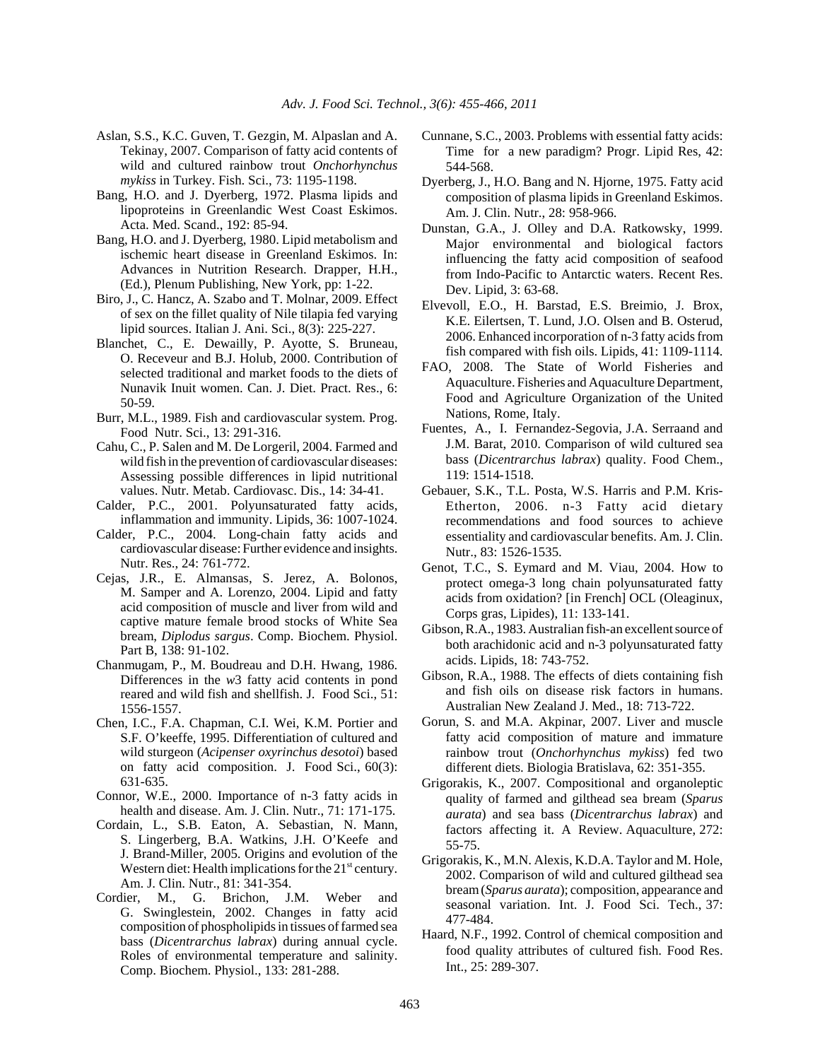- Aslan, S.S., K.C. Guven, T. Gezgin, M. Alpaslan and A. Tekinay, 2007. Comparison of fatty acid contents of wild and cultured rainbow trout *Onchorhynchus mykiss* in Turkey. Fish. Sci., 73: 1195-1198.
- Bang, H.O. and J. Dyerberg, 1972. Plasma lipids and lipoproteins in Greenlandic West Coast Eskimos. Acta. Med. Scand., 192: 85-94.
- Bang, H.O. and J. Dyerberg, 1980. Lipid metabolism and ischemic heart disease in Greenland Eskimos. In: Advances in Nutrition Research. Drapper, H.H., (Ed.), Plenum Publishing, New York, pp: 1-22.
- Biro, J., C. Hancz, A. Szabo and T. Molnar, 2009. Effect of sex on the fillet quality of Nile tilapia fed varying lipid sources. Italian J. Ani. Sci., 8(3): 225-227.
- Blanchet, C., E. Dewailly, P. Ayotte, S. Bruneau, O. Receveur and B.J. Holub, 2000. Contribution of selected traditional and market foods to the diets of Nunavik Inuit women. Can. J. Diet. Pract. Res., 6: 50-59.
- Burr, M.L., 1989. Fish and cardiovascular system. Prog. Food Nutr. Sci., 13: 291-316.
- Cahu, C., P. Salen and M. De Lorgeril, 2004. Farmed and wild fish in the prevention of cardiovascular diseases: Assessing possible differences in lipid nutritional values. Nutr. Metab. Cardiovasc. Dis., 14: 34-41.
- Calder, P.C., 2001. Polyunsaturated fatty acids, inflammation and immunity. Lipids, 36: 1007-1024.
- Calder, P.C., 2004. Long-chain fatty acids and cardiovascular disease: Further evidence and insights. Nutr. Res., 24: 761-772.
- Cejas, J.R., E. Almansas, S. Jerez, A. Bolonos, M. Samper and A. Lorenzo, 2004. Lipid and fatty acid composition of muscle and liver from wild and captive mature female brood stocks of White Sea bream, *Diplodus sargus*. Comp. Biochem. Physiol. Part B, 138: 91-102.
- Chanmugam, P., M. Boudreau and D.H. Hwang, 1986. Differences in the *w*3 fatty acid contents in pond reared and wild fish and shellfish. J. Food Sci., 51: 1556-1557.
- Chen, I.C., F.A. Chapman, C.I. Wei, K.M. Portier and S.F. O'keeffe, 1995. Differentiation of cultured and wild sturgeon (*Acipenser oxyrinchus desotoi*) based on fatty acid composition. J. Food Sci., 60(3): 631-635.
- Connor, W.E., 2000. Importance of n-3 fatty acids in health and disease. Am. J. Clin. Nutr., 71: 171-175.
- Cordain, L., S.B. Eaton, A. Sebastian, N. Mann, S. Lingerberg, B.A. Watkins, J.H. O'Keefe and J. Brand-Miller, 2005. Origins and evolution of the Western diet: Health implications for the  $21<sup>st</sup>$  century. Am. J. Clin. Nutr., 81: 341-354.
- Cordier, M., G. Brichon, J.M. Weber and G. Swinglestein, 2002. Changes in fatty acid composition of phospholipids in tissues of farmed sea bass (*Dicentrarchus labrax*) during annual cycle. Roles of environmental temperature and salinity. Comp. Biochem. Physiol., 133: 281-288.
- Cunnane, S.C., 2003. Problems with essential fatty acids: Time for a new paradigm? Progr. Lipid Res, 42: 544-568.
- Dyerberg, J., H.O. Bang and N. Hjorne, 1975. Fatty acid composition of plasma lipids in Greenland Eskimos. Am. J. Clin. Nutr., 28: 958-966.
- Dunstan, G.A., J. Olley and D.A. Ratkowsky, 1999. Major environmental and biological factors influencing the fatty acid composition of seafood from Indo-Pacific to Antarctic waters. Recent Res. Dev. Lipid, 3: 63-68.
- Elvevoll, E.O., H. Barstad, E.S. Breimio, J. Brox, K.E. Eilertsen, T. Lund, J.O. Olsen and B. Osterud, 2006. Enhanced incorporation of n-3 fatty acids from fish compared with fish oils. Lipids, 41: 1109-1114.
- FAO, 2008. The State of World Fisheries and Aquaculture. Fisheries and Aquaculture Department, Food and Agriculture Organization of the United Nations, Rome, Italy.
- Fuentes, A., I. Fernandez-Segovia, J.A. Serraand and J.M. Barat, 2010. Comparison of wild cultured sea bass (*Dicentrarchus labrax*) quality. Food Chem., 119: 1514-1518.
- Gebauer, S.K., T.L. Posta, W.S. Harris and P.M. Kris-Etherton, 2006. n-3 Fatty acid dietary recommendations and food sources to achieve essentiality and cardiovascular benefits. Am. J. Clin. Nutr., 83: 1526-1535.
- Genot, T.C., S. Eymard and M. Viau, 2004. How to protect omega-3 long chain polyunsaturated fatty acids from oxidation? [in French] OCL (Oleaginux, Corps gras, Lipides), 11: 133-141.
- Gibson, R.A., 1983. Australian fish-an excellent source of both arachidonic acid and n-3 polyunsaturated fatty acids. Lipids, 18: 743-752.
- Gibson, R.A., 1988. The effects of diets containing fish and fish oils on disease risk factors in humans. Australian New Zealand J. Med., 18: 713-722.
- Gorun, S. and M.A. Akpinar, 2007. Liver and muscle fatty acid composition of mature and immature rainbow trout (*Onchorhynchus mykiss*) fed two different diets. Biologia Bratislava, 62: 351-355.
- Grigorakis, K., 2007. Compositional and organoleptic quality of farmed and gilthead sea bream (*Sparus aurata*) and sea bass (*Dicentrarchus labrax*) and factors affecting it. A Review. Aquaculture, 272: 55-75.
- Grigorakis, K., M.N. Alexis, K.D.A. Taylor and M. Hole, 2002. Comparison of wild and cultured gilthead sea bream (*Sparus aurata*); composition, appearance and seasonal variation. Int. J. Food Sci. Tech., 37: 477-484.
- Haard, N.F., 1992. Control of chemical composition and food quality attributes of cultured fish. Food Res. Int., 25: 289-307.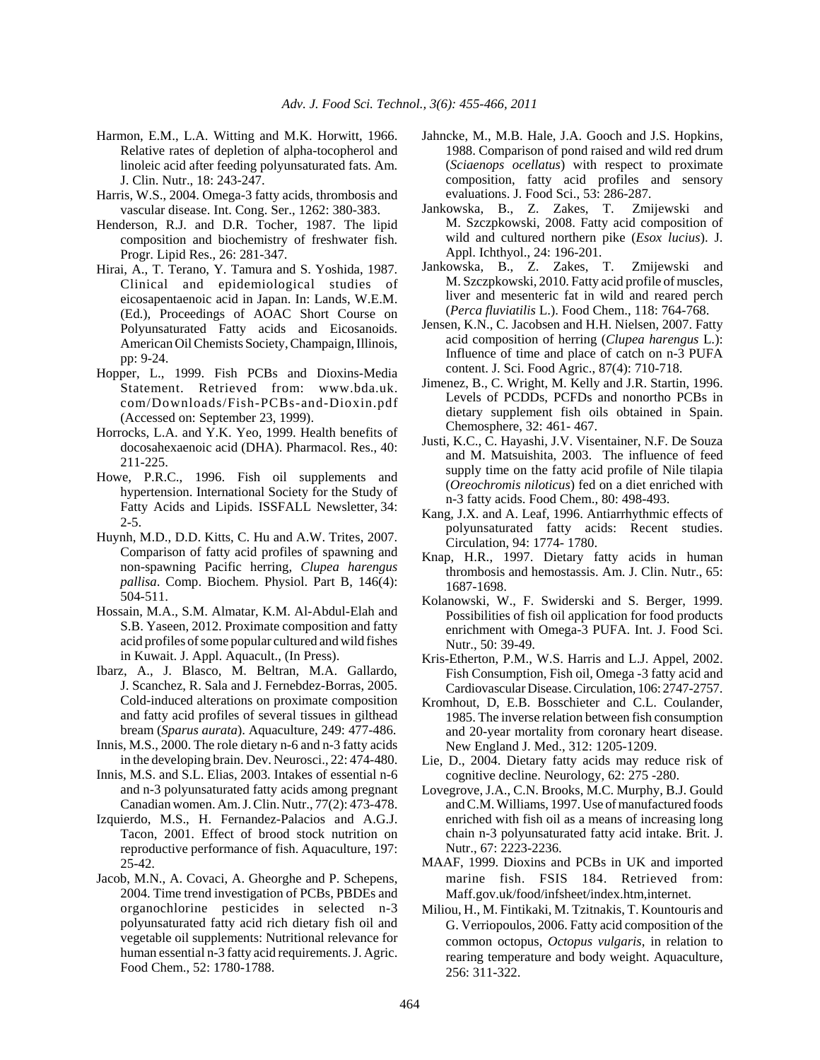- Harmon, E.M., L.A. Witting and M.K. Horwitt, 1966. Relative rates of depletion of alpha-tocopherol and linoleic acid after feeding polyunsaturated fats. Am. J. Clin. Nutr., 18: 243-247.
- Harris, W.S., 2004. Omega-3 fatty acids, thrombosis and vascular disease. Int. Cong. Ser., 1262: 380-383.
- Henderson, R.J. and D.R. Tocher, 1987. The lipid composition and biochemistry of freshwater fish. Progr. Lipid Res., 26: 281-347.
- Hirai, A., T. Terano, Y. Tamura and S. Yoshida, 1987. Clinical and epidemiological studies of eicosapentaenoic acid in Japan. In: Lands, W.E.M. (Ed.), Proceedings of AOAC Short Course on Polyunsaturated Fatty acids and Eicosanoids. American Oil Chemists Society, Champaign, Illinois, pp: 9-24.
- Hopper, L., 1999. Fish PCBs and Dioxins-Media Statement. Retrieved from: www.bda.uk. com/Downloads/Fish-PCBs-and-Dioxin.pdf (Accessed on: September 23, 1999).
- Horrocks, L.A. and Y.K. Yeo, 1999. Health benefits of docosahexaenoic acid (DHA). Pharmacol. Res., 40: 211-225.
- Howe, P.R.C., 1996. Fish oil supplements and hypertension. International Society for the Study of Fatty Acids and Lipids. ISSFALL Newsletter, 34: 2-5.
- Huynh, M.D., D.D. Kitts, C. Hu and A.W. Trites, 2007. Comparison of fatty acid profiles of spawning and non-spawning Pacific herring, *Clupea harengus pallisa*. Comp. Biochem. Physiol. Part B, 146(4): 504-511.
- Hossain, M.A., S.M. Almatar, K.M. Al-Abdul-Elah and S.B. Yaseen, 2012. Proximate composition and fatty acid profiles of some popular cultured and wild fishes in Kuwait. J. Appl. Aquacult., (In Press).
- Ibarz, A., J. Blasco, M. Beltran, M.A. Gallardo, J. Scanchez, R. Sala and J. Fernebdez-Borras, 2005. Cold-induced alterations on proximate composition and fatty acid profiles of several tissues in gilthead bream (*Sparus aurata*). Aquaculture, 249: 477-486.
- Innis, M.S., 2000. The role dietary n-6 and n-3 fatty acids in the developing brain. Dev. Neurosci., 22: 474-480.
- Innis, M.S. and S.L. Elias, 2003. Intakes of essential n-6 and n-3 polyunsaturated fatty acids among pregnant Canadian women. Am. J. Clin. Nutr., 77(2): 473-478.
- Izquierdo, M.S., H. Fernandez-Palacios and A.G.J. Tacon, 2001. Effect of brood stock nutrition on reproductive performance of fish. Aquaculture, 197: 25-42.
- Jacob, M.N., A. Covaci, A. Gheorghe and P. Schepens, 2004. Time trend investigation of PCBs, PBDEs and organochlorine pesticides in selected n-3 polyunsaturated fatty acid rich dietary fish oil and vegetable oil supplements: Nutritional relevance for human essential n-3 fatty acid requirements. J. Agric. Food Chem., 52: 1780-1788.
- Jahncke, M., M.B. Hale, J.A. Gooch and J.S. Hopkins, 1988. Comparison of pond raised and wild red drum (*Sciaenops ocellatus*) with respect to proximate composition, fatty acid profiles and sensory evaluations. J. Food Sci., 53: 286-287.
- Jankowska, B., Z. Zakes, T. Zmijewski and M. Szczpkowski, 2008. Fatty acid composition of wild and cultured northern pike (*Esox lucius*). J. Appl. Ichthyol., 24: 196-201.
- Jankowska, B., Z. Zakes, T. Zmijewski and M. Szczpkowski, 2010. Fatty acid profile of muscles, liver and mesenteric fat in wild and reared perch (*Perca fluviatilis* L.). Food Chem., 118: 764-768.
- Jensen, K.N., C. Jacobsen and H.H. Nielsen, 2007. Fatty acid composition of herring (*Clupea harengus* L.): Influence of time and place of catch on n-3 PUFA content. J. Sci. Food Agric., 87(4): 710-718.
- Jimenez, B., C. Wright, M. Kelly and J.R. Startin, 1996. Levels of PCDDs, PCFDs and nonortho PCBs in dietary supplement fish oils obtained in Spain. Chemosphere, 32: 461- 467.
- Justi, K.C., C. Hayashi, J.V. Visentainer, N.F. De Souza and M. Matsuishita, 2003. The influence of feed supply time on the fatty acid profile of Nile tilapia (*Oreochromis niloticus*) fed on a diet enriched with n-3 fatty acids. Food Chem., 80: 498-493.
- Kang, J.X. and A. Leaf, 1996. Antiarrhythmic effects of polyunsaturated fatty acids: Recent studies. Circulation, 94: 1774- 1780.
- Knap, H.R., 1997. Dietary fatty acids in human thrombosis and hemostassis. Am. J. Clin. Nutr., 65: 1687-1698.
- Kolanowski, W., F. Swiderski and S. Berger, 1999. Possibilities of fish oil application for food products enrichment with Omega-3 PUFA. Int. J. Food Sci. Nutr., 50: 39-49.
- Kris-Etherton, P.M., W.S. Harris and L.J. Appel, 2002. Fish Consumption, Fish oil, Omega -3 fatty acid and Cardiovascular Disease. Circulation, 106: 2747-2757.
- Kromhout, D, E.B. Bosschieter and C.L. Coulander, 1985. The inverse relation between fish consumption and 20-year mortality from coronary heart disease. New England J. Med., 312: 1205-1209.
- Lie, D., 2004. Dietary fatty acids may reduce risk of cognitive decline. Neurology, 62: 275 -280.
- Lovegrove, J.A., C.N. Brooks, M.C. Murphy, B.J. Gould and C.M. Williams, 1997. Use of manufactured foods enriched with fish oil as a means of increasing long chain n-3 polyunsaturated fatty acid intake. Brit. J. Nutr., 67: 2223-2236.
- MAAF, 1999. Dioxins and PCBs in UK and imported marine fish. FSIS 184. Retrieved from: Maff.gov.uk/food/infsheet/index.htm,internet.
- Miliou, H., M. Fintikaki, M. Tzitnakis, T. Kountouris and G. Verriopoulos, 2006. Fatty acid composition of the common octopus, *Octopus vulgaris*, in relation to rearing temperature and body weight. Aquaculture, 256: 311-322.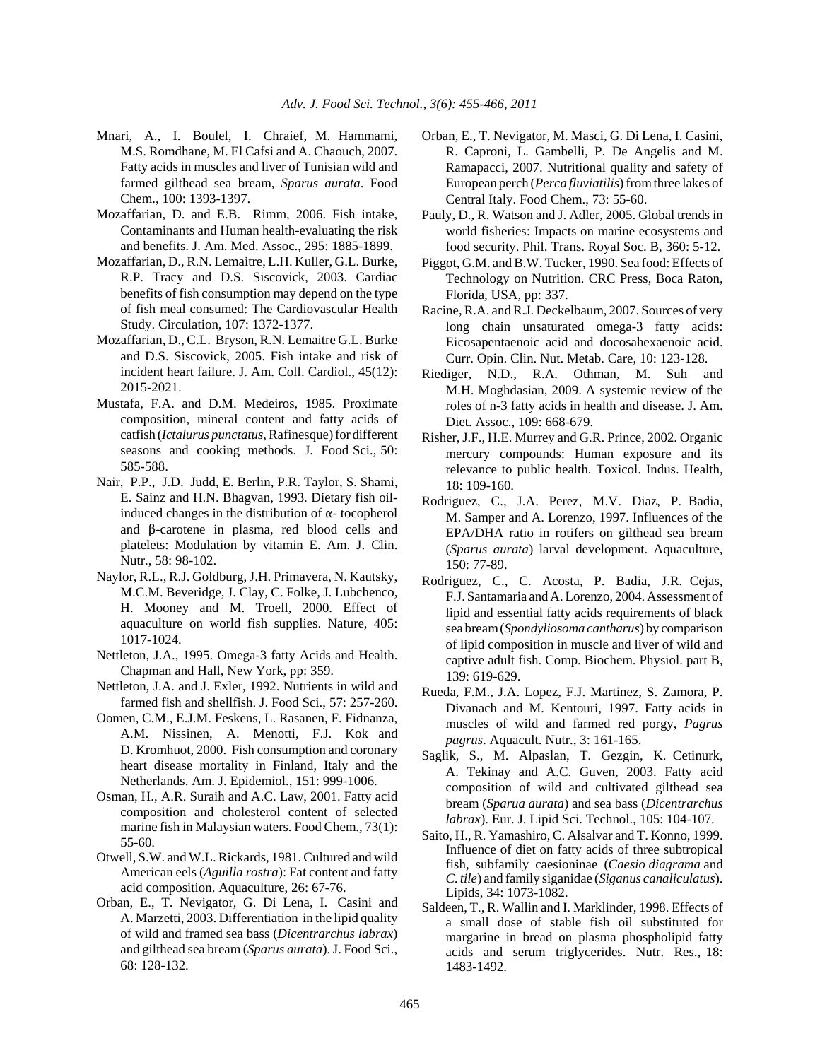- Mnari, A., I. Boulel, I. Chraief, M. Hammami, M.S. Romdhane, M. El Cafsi and A. Chaouch, 2007. Fatty acids in muscles and liver of Tunisian wild and farmed gilthead sea bream, *Sparus aurata*. Food Chem., 100: 1393-1397.
- Mozaffarian, D. and E.B. Rimm, 2006. Fish intake, Contaminants and Human health-evaluating the risk and benefits. J. Am. Med. Assoc., 295: 1885-1899.
- Mozaffarian, D., R.N. Lemaitre, L.H. Kuller, G.L. Burke, R.P. Tracy and D.S. Siscovick, 2003. Cardiac benefits of fish consumption may depend on the type of fish meal consumed: The Cardiovascular Health Study. Circulation, 107: 1372-1377.
- Mozaffarian, D., C.L. Bryson, R.N. Lemaitre G.L. Burke and D.S. Siscovick, 2005. Fish intake and risk of incident heart failure. J. Am. Coll. Cardiol., 45(12): 2015-2021.
- Mustafa, F.A. and D.M. Medeiros, 1985. Proximate composition, mineral content and fatty acids of catfish (*Ictalurus punctatus*, Rafinesque) for different seasons and cooking methods. J. Food Sci., 50: 585-588.
- Nair, P.P., J.D. Judd, E. Berlin, P.R. Taylor, S. Shami, E. Sainz and H.N. Bhagvan, 1993. Dietary fish oilinduced changes in the distribution of  $\alpha$ - tocopherol and  $\beta$ -carotene in plasma, red blood cells and platelets: Modulation by vitamin E. Am. J. Clin. Nutr., 58: 98-102.
- Naylor, R.L., R.J. Goldburg, J.H. Primavera, N. Kautsky, M.C.M. Beveridge, J. Clay, C. Folke, J. Lubchenco, H. Mooney and M. Troell, 2000. Effect of aquaculture on world fish supplies. Nature, 405: 1017-1024.
- Nettleton, J.A., 1995. Omega-3 fatty Acids and Health. Chapman and Hall, New York, pp: 359.
- Nettleton, J.A. and J. Exler, 1992. Nutrients in wild and farmed fish and shellfish. J. Food Sci., 57: 257-260.
- Oomen, C.M., E.J.M. Feskens, L. Rasanen, F. Fidnanza, A.M. Nissinen, A. Menotti, F.J. Kok and D. Kromhuot, 2000. Fish consumption and coronary heart disease mortality in Finland, Italy and the Netherlands. Am. J. Epidemiol., 151: 999-1006.
- Osman, H., A.R. Suraih and A.C. Law, 2001. Fatty acid composition and cholesterol content of selected marine fish in Malaysian waters. Food Chem., 73(1): 55-60.
- Otwell, S.W. and W.L. Rickards, 1981. Cultured and wild American eels (*Aguilla rostra*): Fat content and fatty acid composition. Aquaculture, 26: 67-76.
- Orban, E., T. Nevigator, G. Di Lena, I. Casini and A. Marzetti, 2003. Differentiation in the lipid quality of wild and framed sea bass (*Dicentrarchus labrax*) and gilthead sea bream (*Sparus aurata*). J. Food Sci., 68: 128-132.
- Orban, E., T. Nevigator, M. Masci, G. Di Lena, I. Casini, R. Caproni, L. Gambelli, P. De Angelis and M. Ramapacci, 2007. Nutritional quality and safety of European perch (*Perca fluviatilis*) from three lakes of Central Italy. Food Chem., 73: 55-60.
- Pauly, D., R. Watson and J. Adler, 2005. Global trends in world fisheries: Impacts on marine ecosystems and food security. Phil. Trans. Royal Soc. B, 360: 5-12.
- Piggot, G.M. and B.W. Tucker, 1990. Sea food: Effects of Technology on Nutrition. CRC Press, Boca Raton, Florida, USA, pp: 337.
- Racine, R.A. and R.J. Deckelbaum, 2007. Sources of very long chain unsaturated omega-3 fatty acids: Eicosapentaenoic acid and docosahexaenoic acid. Curr. Opin. Clin. Nut. Metab. Care, 10: 123-128.
- Riediger, N.D., R.A. Othman, M. Suh and M.H. Moghdasian, 2009. A systemic review of the roles of n-3 fatty acids in health and disease. J. Am. Diet. Assoc., 109: 668-679.
- Risher, J.F., H.E. Murrey and G.R. Prince, 2002. Organic mercury compounds: Human exposure and its relevance to public health. Toxicol. Indus. Health, 18: 109-160.
- Rodriguez, C., J.A. Perez, M.V. Diaz, P. Badia, M. Samper and A. Lorenzo, 1997. Influences of the EPA/DHA ratio in rotifers on gilthead sea bream (*Sparus aurata*) larval development. Aquaculture, 150: 77-89.
- Rodriguez, C., C. Acosta, P. Badia, J.R. Cejas, F.J. Santamaria and A. Lorenzo, 2004. Assessment of lipid and essential fatty acids requirements of black sea bream (*Spondyliosoma cantharus*) by comparison of lipid composition in muscle and liver of wild and captive adult fish. Comp. Biochem. Physiol. part B, 139: 619-629.
- Rueda, F.M., J.A. Lopez, F.J. Martinez, S. Zamora, P. Divanach and M. Kentouri, 1997. Fatty acids in muscles of wild and farmed red porgy, *Pagrus pagrus*. Aquacult. Nutr., 3: 161-165.
- Saglik, S., M. Alpaslan, T. Gezgin, K. Cetinurk, A. Tekinay and A.C. Guven, 2003. Fatty acid composition of wild and cultivated gilthead sea bream (*Sparua aurata*) and sea bass (*Dicentrarchus labrax*). Eur. J. Lipid Sci. Technol., 105: 104-107.
- Saito, H., R. Yamashiro, C. Alsalvar and T. Konno, 1999. Influence of diet on fatty acids of three subtropical fish, subfamily caesioninae (*Caesio diagrama* and *C. tile*) and family siganidae (*Siganus canaliculatus*). Lipids, 34: 1073-1082.
- Saldeen, T., R. Wallin and I. Marklinder, 1998. Effects of a small dose of stable fish oil substituted for margarine in bread on plasma phospholipid fatty acids and serum triglycerides. Nutr. Res., 18: 1483-1492.